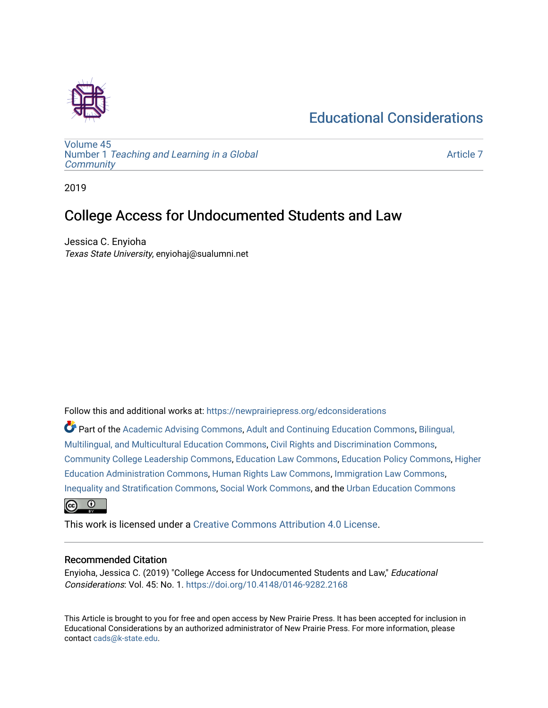# [Educational Considerations](https://newprairiepress.org/edconsiderations)



[Volume 45](https://newprairiepress.org/edconsiderations/vol45) Number 1 [Teaching and Learning in a Global](https://newprairiepress.org/edconsiderations/vol45/iss1)  **[Community](https://newprairiepress.org/edconsiderations/vol45/iss1)** 

[Article 7](https://newprairiepress.org/edconsiderations/vol45/iss1/7) 

2019

## College Access for Undocumented Students and Law

Jessica C. Enyioha Texas State University, enyiohaj@sualumni.net

Follow this and additional works at: [https://newprairiepress.org/edconsiderations](https://newprairiepress.org/edconsiderations?utm_source=newprairiepress.org%2Fedconsiderations%2Fvol45%2Fiss1%2F7&utm_medium=PDF&utm_campaign=PDFCoverPages) 

Part of the [Academic Advising Commons](http://network.bepress.com/hgg/discipline/1403?utm_source=newprairiepress.org%2Fedconsiderations%2Fvol45%2Fiss1%2F7&utm_medium=PDF&utm_campaign=PDFCoverPages), [Adult and Continuing Education Commons,](http://network.bepress.com/hgg/discipline/1375?utm_source=newprairiepress.org%2Fedconsiderations%2Fvol45%2Fiss1%2F7&utm_medium=PDF&utm_campaign=PDFCoverPages) [Bilingual,](http://network.bepress.com/hgg/discipline/785?utm_source=newprairiepress.org%2Fedconsiderations%2Fvol45%2Fiss1%2F7&utm_medium=PDF&utm_campaign=PDFCoverPages) [Multilingual, and Multicultural Education Commons](http://network.bepress.com/hgg/discipline/785?utm_source=newprairiepress.org%2Fedconsiderations%2Fvol45%2Fiss1%2F7&utm_medium=PDF&utm_campaign=PDFCoverPages), [Civil Rights and Discrimination Commons](http://network.bepress.com/hgg/discipline/585?utm_source=newprairiepress.org%2Fedconsiderations%2Fvol45%2Fiss1%2F7&utm_medium=PDF&utm_campaign=PDFCoverPages), [Community College Leadership Commons](http://network.bepress.com/hgg/discipline/1039?utm_source=newprairiepress.org%2Fedconsiderations%2Fvol45%2Fiss1%2F7&utm_medium=PDF&utm_campaign=PDFCoverPages), [Education Law Commons](http://network.bepress.com/hgg/discipline/596?utm_source=newprairiepress.org%2Fedconsiderations%2Fvol45%2Fiss1%2F7&utm_medium=PDF&utm_campaign=PDFCoverPages), [Education Policy Commons,](http://network.bepress.com/hgg/discipline/1026?utm_source=newprairiepress.org%2Fedconsiderations%2Fvol45%2Fiss1%2F7&utm_medium=PDF&utm_campaign=PDFCoverPages) [Higher](http://network.bepress.com/hgg/discipline/791?utm_source=newprairiepress.org%2Fedconsiderations%2Fvol45%2Fiss1%2F7&utm_medium=PDF&utm_campaign=PDFCoverPages)  [Education Administration Commons,](http://network.bepress.com/hgg/discipline/791?utm_source=newprairiepress.org%2Fedconsiderations%2Fvol45%2Fiss1%2F7&utm_medium=PDF&utm_campaign=PDFCoverPages) [Human Rights Law Commons](http://network.bepress.com/hgg/discipline/847?utm_source=newprairiepress.org%2Fedconsiderations%2Fvol45%2Fiss1%2F7&utm_medium=PDF&utm_campaign=PDFCoverPages), [Immigration Law Commons](http://network.bepress.com/hgg/discipline/604?utm_source=newprairiepress.org%2Fedconsiderations%2Fvol45%2Fiss1%2F7&utm_medium=PDF&utm_campaign=PDFCoverPages), [Inequality and Stratification Commons,](http://network.bepress.com/hgg/discipline/421?utm_source=newprairiepress.org%2Fedconsiderations%2Fvol45%2Fiss1%2F7&utm_medium=PDF&utm_campaign=PDFCoverPages) [Social Work Commons](http://network.bepress.com/hgg/discipline/713?utm_source=newprairiepress.org%2Fedconsiderations%2Fvol45%2Fiss1%2F7&utm_medium=PDF&utm_campaign=PDFCoverPages), and the [Urban Education Commons](http://network.bepress.com/hgg/discipline/793?utm_source=newprairiepress.org%2Fedconsiderations%2Fvol45%2Fiss1%2F7&utm_medium=PDF&utm_campaign=PDFCoverPages)  $\odot$ ര

This work is licensed under a [Creative Commons Attribution 4.0 License](https://creativecommons.org/licenses/by/4.0/).

#### Recommended Citation

Enyioha, Jessica C. (2019) "College Access for Undocumented Students and Law," Educational Considerations: Vol. 45: No. 1. <https://doi.org/10.4148/0146-9282.2168>

This Article is brought to you for free and open access by New Prairie Press. It has been accepted for inclusion in Educational Considerations by an authorized administrator of New Prairie Press. For more information, please contact [cads@k-state.edu](mailto:cads@k-state.edu).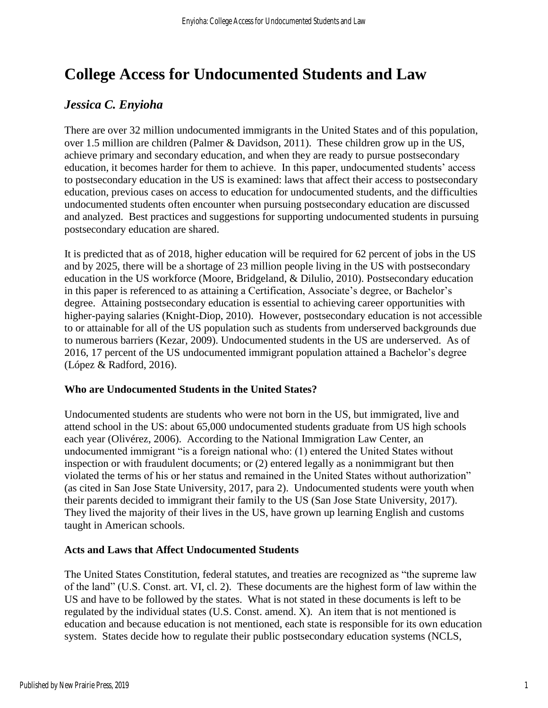# **College Access for Undocumented Students and Law**

### *Jessica C. Enyioha*

There are over 32 million undocumented immigrants in the United States and of this population, over 1.5 million are children (Palmer & Davidson, 2011). These children grow up in the US, achieve primary and secondary education, and when they are ready to pursue postsecondary education, it becomes harder for them to achieve. In this paper, undocumented students' access to postsecondary education in the US is examined: laws that affect their access to postsecondary education, previous cases on access to education for undocumented students, and the difficulties undocumented students often encounter when pursuing postsecondary education are discussed and analyzed. Best practices and suggestions for supporting undocumented students in pursuing postsecondary education are shared.

It is predicted that as of 2018, higher education will be required for 62 percent of jobs in the US and by 2025, there will be a shortage of 23 million people living in the US with postsecondary education in the US workforce (Moore, Bridgeland, & Dilulio, 2010). Postsecondary education in this paper is referenced to as attaining a Certification, Associate's degree, or Bachelor's degree. Attaining postsecondary education is essential to achieving career opportunities with higher-paying salaries (Knight-Diop, 2010). However, postsecondary education is not accessible to or attainable for all of the US population such as students from underserved backgrounds due to numerous barriers (Kezar, 2009). Undocumented students in the US are underserved. As of 2016, 17 percent of the US undocumented immigrant population attained a Bachelor's degree (López & Radford, 2016).

#### **Who are Undocumented Students in the United States?**

Undocumented students are students who were not born in the US, but immigrated, live and attend school in the US: about 65,000 undocumented students graduate from US high schools each year (Olivérez, 2006). According to the National Immigration Law Center, an undocumented immigrant "is a foreign national who: (1) entered the United States without inspection or with fraudulent documents; or (2) entered legally as a nonimmigrant but then violated the terms of his or her status and remained in the United States without authorization" (as cited in San Jose State University, 2017, para 2). Undocumented students were youth when their parents decided to immigrant their family to the US (San Jose State University, 2017). They lived the majority of their lives in the US, have grown up learning English and customs taught in American schools.

#### **Acts and Laws that Affect Undocumented Students**

The United States Constitution, federal statutes, and treaties are recognized as "the supreme law of the land" (U.S. Const. art. VI, cl. 2). These documents are the highest form of law within the US and have to be followed by the states. What is not stated in these documents is left to be regulated by the individual states (U.S. Const. amend. X). An item that is not mentioned is education and because education is not mentioned, each state is responsible for its own education system. States decide how to regulate their public postsecondary education systems (NCLS,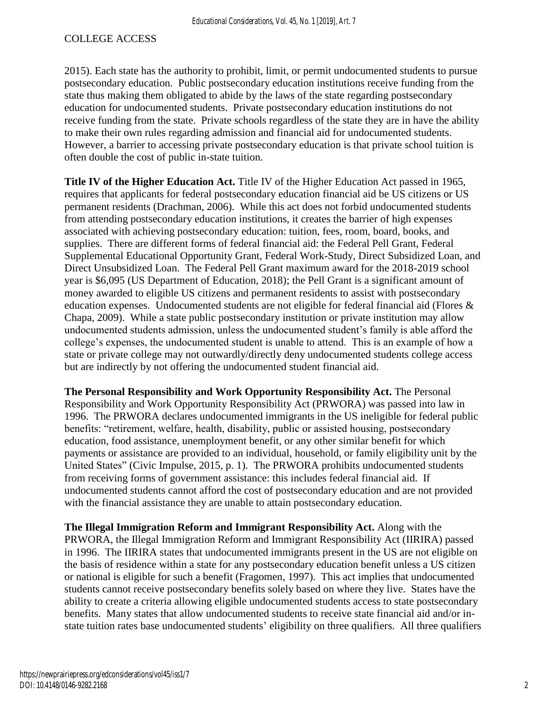2015). Each state has the authority to prohibit, limit, or permit undocumented students to pursue postsecondary education. Public postsecondary education institutions receive funding from the state thus making them obligated to abide by the laws of the state regarding postsecondary education for undocumented students. Private postsecondary education institutions do not receive funding from the state. Private schools regardless of the state they are in have the ability to make their own rules regarding admission and financial aid for undocumented students. However, a barrier to accessing private postsecondary education is that private school tuition is often double the cost of public in-state tuition.

**Title IV of the Higher Education Act.** Title IV of the Higher Education Act passed in 1965, requires that applicants for federal postsecondary education financial aid be US citizens or US permanent residents (Drachman, 2006). While this act does not forbid undocumented students from attending postsecondary education institutions, it creates the barrier of high expenses associated with achieving postsecondary education: tuition, fees, room, board, books, and supplies. There are different forms of federal financial aid: the Federal Pell Grant, Federal Supplemental Educational Opportunity Grant, Federal Work-Study, Direct Subsidized Loan, and Direct Unsubsidized Loan. The Federal Pell Grant maximum award for the 2018-2019 school year is \$6,095 (US Department of Education, 2018); the Pell Grant is a significant amount of money awarded to eligible US citizens and permanent residents to assist with postsecondary education expenses. Undocumented students are not eligible for federal financial aid (Flores & Chapa, 2009). While a state public postsecondary institution or private institution may allow undocumented students admission, unless the undocumented student's family is able afford the college's expenses, the undocumented student is unable to attend. This is an example of how a state or private college may not outwardly/directly deny undocumented students college access but are indirectly by not offering the undocumented student financial aid.

**The Personal Responsibility and Work Opportunity Responsibility Act.** The Personal Responsibility and Work Opportunity Responsibility Act (PRWORA) was passed into law in 1996. The PRWORA declares undocumented immigrants in the US ineligible for federal public benefits: "retirement, welfare, health, disability, public or assisted housing, postsecondary education, food assistance, unemployment benefit, or any other similar benefit for which payments or assistance are provided to an individual, household, or family eligibility unit by the United States" (Civic Impulse, 2015, p. 1). The PRWORA prohibits undocumented students from receiving forms of government assistance: this includes federal financial aid. If undocumented students cannot afford the cost of postsecondary education and are not provided with the financial assistance they are unable to attain postsecondary education.

**The Illegal Immigration Reform and Immigrant Responsibility Act.** Along with the PRWORA, the Illegal Immigration Reform and Immigrant Responsibility Act (IIRIRA) passed in 1996. The IIRIRA states that undocumented immigrants present in the US are not eligible on the basis of residence within a state for any postsecondary education benefit unless a US citizen or national is eligible for such a benefit (Fragomen, 1997). This act implies that undocumented students cannot receive postsecondary benefits solely based on where they live. States have the ability to create a criteria allowing eligible undocumented students access to state postsecondary benefits. Many states that allow undocumented students to receive state financial aid and/or instate tuition rates base undocumented students' eligibility on three qualifiers. All three qualifiers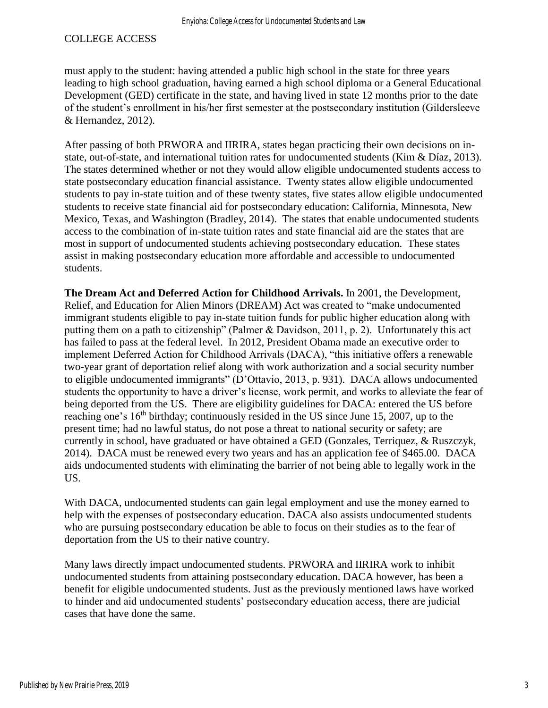must apply to the student: having attended a public high school in the state for three years leading to high school graduation, having earned a high school diploma or a General Educational Development (GED) certificate in the state, and having lived in state 12 months prior to the date of the student's enrollment in his/her first semester at the postsecondary institution (Gildersleeve & Hernandez, 2012).

After passing of both PRWORA and IIRIRA, states began practicing their own decisions on instate, out-of-state, and international tuition rates for undocumented students (Kim & Díaz, 2013). The states determined whether or not they would allow eligible undocumented students access to state postsecondary education financial assistance. Twenty states allow eligible undocumented students to pay in-state tuition and of these twenty states, five states allow eligible undocumented students to receive state financial aid for postsecondary education: California, Minnesota, New Mexico, Texas, and Washington (Bradley, 2014). The states that enable undocumented students access to the combination of in-state tuition rates and state financial aid are the states that are most in support of undocumented students achieving postsecondary education. These states assist in making postsecondary education more affordable and accessible to undocumented students.

**The Dream Act and Deferred Action for Childhood Arrivals.** In 2001, the Development, Relief, and Education for Alien Minors (DREAM) Act was created to "make undocumented immigrant students eligible to pay in-state tuition funds for public higher education along with putting them on a path to citizenship" (Palmer & Davidson, 2011, p. 2). Unfortunately this act has failed to pass at the federal level. In 2012, President Obama made an executive order to implement Deferred Action for Childhood Arrivals (DACA), "this initiative offers a renewable two-year grant of deportation relief along with work authorization and a social security number to eligible undocumented immigrants" (D'Ottavio, 2013, p. 931). DACA allows undocumented students the opportunity to have a driver's license, work permit, and works to alleviate the fear of being deported from the US. There are eligibility guidelines for DACA: entered the US before reaching one's  $16<sup>th</sup>$  birthday; continuously resided in the US since June 15, 2007, up to the present time; had no lawful status, do not pose a threat to national security or safety; are currently in school, have graduated or have obtained a GED (Gonzales, Terriquez, & Ruszczyk, 2014). DACA must be renewed every two years and has an application fee of \$465.00. DACA aids undocumented students with eliminating the barrier of not being able to legally work in the US.

With DACA, undocumented students can gain legal employment and use the money earned to help with the expenses of postsecondary education. DACA also assists undocumented students who are pursuing postsecondary education be able to focus on their studies as to the fear of deportation from the US to their native country.

Many laws directly impact undocumented students. PRWORA and IIRIRA work to inhibit undocumented students from attaining postsecondary education. DACA however, has been a benefit for eligible undocumented students. Just as the previously mentioned laws have worked to hinder and aid undocumented students' postsecondary education access, there are judicial cases that have done the same.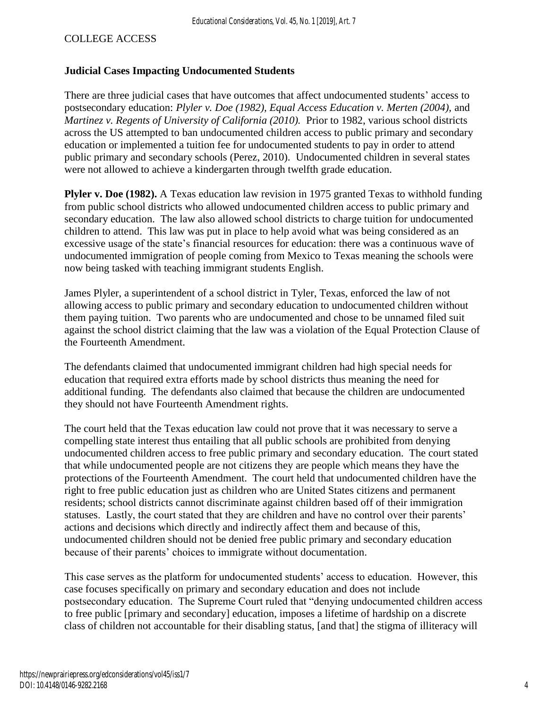#### **Judicial Cases Impacting Undocumented Students**

There are three judicial cases that have outcomes that affect undocumented students' access to postsecondary education: *Plyler v. Doe (1982), Equal Access Education v. Merten (2004),* and *Martinez v. Regents of University of California (2010).* Prior to 1982, various school districts across the US attempted to ban undocumented children access to public primary and secondary education or implemented a tuition fee for undocumented students to pay in order to attend public primary and secondary schools (Perez, 2010). Undocumented children in several states were not allowed to achieve a kindergarten through twelfth grade education.

**Plyler v. Doe (1982).** A Texas education law revision in 1975 granted Texas to withhold funding from public school districts who allowed undocumented children access to public primary and secondary education. The law also allowed school districts to charge tuition for undocumented children to attend. This law was put in place to help avoid what was being considered as an excessive usage of the state's financial resources for education: there was a continuous wave of undocumented immigration of people coming from Mexico to Texas meaning the schools were now being tasked with teaching immigrant students English.

James Plyler, a superintendent of a school district in Tyler, Texas, enforced the law of not allowing access to public primary and secondary education to undocumented children without them paying tuition. Two parents who are undocumented and chose to be unnamed filed suit against the school district claiming that the law was a violation of the Equal Protection Clause of the Fourteenth Amendment.

The defendants claimed that undocumented immigrant children had high special needs for education that required extra efforts made by school districts thus meaning the need for additional funding. The defendants also claimed that because the children are undocumented they should not have Fourteenth Amendment rights.

The court held that the Texas education law could not prove that it was necessary to serve a compelling state interest thus entailing that all public schools are prohibited from denying undocumented children access to free public primary and secondary education. The court stated that while undocumented people are not citizens they are people which means they have the protections of the Fourteenth Amendment. The court held that undocumented children have the right to free public education just as children who are United States citizens and permanent residents; school districts cannot discriminate against children based off of their immigration statuses. Lastly, the court stated that they are children and have no control over their parents' actions and decisions which directly and indirectly affect them and because of this, undocumented children should not be denied free public primary and secondary education because of their parents' choices to immigrate without documentation.

This case serves as the platform for undocumented students' access to education. However, this case focuses specifically on primary and secondary education and does not include postsecondary education. The Supreme Court ruled that "denying undocumented children access to free public [primary and secondary] education, imposes a lifetime of hardship on a discrete class of children not accountable for their disabling status, [and that] the stigma of illiteracy will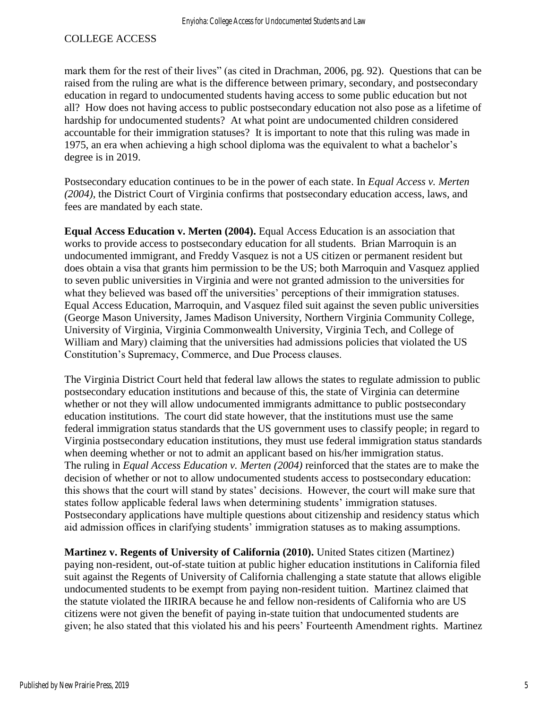mark them for the rest of their lives" (as cited in Drachman, 2006, pg. 92). Questions that can be raised from the ruling are what is the difference between primary, secondary, and postsecondary education in regard to undocumented students having access to some public education but not all? How does not having access to public postsecondary education not also pose as a lifetime of hardship for undocumented students? At what point are undocumented children considered accountable for their immigration statuses? It is important to note that this ruling was made in 1975, an era when achieving a high school diploma was the equivalent to what a bachelor's degree is in 2019.

Postsecondary education continues to be in the power of each state. In *Equal Access v. Merten (2004)*, the District Court of Virginia confirms that postsecondary education access, laws, and fees are mandated by each state.

**Equal Access Education v. Merten (2004).** Equal Access Education is an association that works to provide access to postsecondary education for all students. Brian Marroquin is an undocumented immigrant, and Freddy Vasquez is not a US citizen or permanent resident but does obtain a visa that grants him permission to be the US; both Marroquin and Vasquez applied to seven public universities in Virginia and were not granted admission to the universities for what they believed was based off the universities' perceptions of their immigration statuses. Equal Access Education, Marroquin, and Vasquez filed suit against the seven public universities (George Mason University, James Madison University, Northern Virginia Community College, University of Virginia, Virginia Commonwealth University, Virginia Tech, and College of William and Mary) claiming that the universities had admissions policies that violated the US Constitution's Supremacy, Commerce, and Due Process clauses.

The Virginia District Court held that federal law allows the states to regulate admission to public postsecondary education institutions and because of this, the state of Virginia can determine whether or not they will allow undocumented immigrants admittance to public postsecondary education institutions. The court did state however, that the institutions must use the same federal immigration status standards that the US government uses to classify people; in regard to Virginia postsecondary education institutions, they must use federal immigration status standards when deeming whether or not to admit an applicant based on his/her immigration status. The ruling in *Equal Access Education v. Merten (2004)* reinforced that the states are to make the decision of whether or not to allow undocumented students access to postsecondary education: this shows that the court will stand by states' decisions. However, the court will make sure that states follow applicable federal laws when determining students' immigration statuses. Postsecondary applications have multiple questions about citizenship and residency status which aid admission offices in clarifying students' immigration statuses as to making assumptions.

**Martinez v. Regents of University of California (2010).** United States citizen (Martinez) paying non-resident, out-of-state tuition at public higher education institutions in California filed suit against the Regents of University of California challenging a state statute that allows eligible undocumented students to be exempt from paying non-resident tuition. Martinez claimed that the statute violated the IIRIRA because he and fellow non-residents of California who are US citizens were not given the benefit of paying in-state tuition that undocumented students are given; he also stated that this violated his and his peers' Fourteenth Amendment rights. Martinez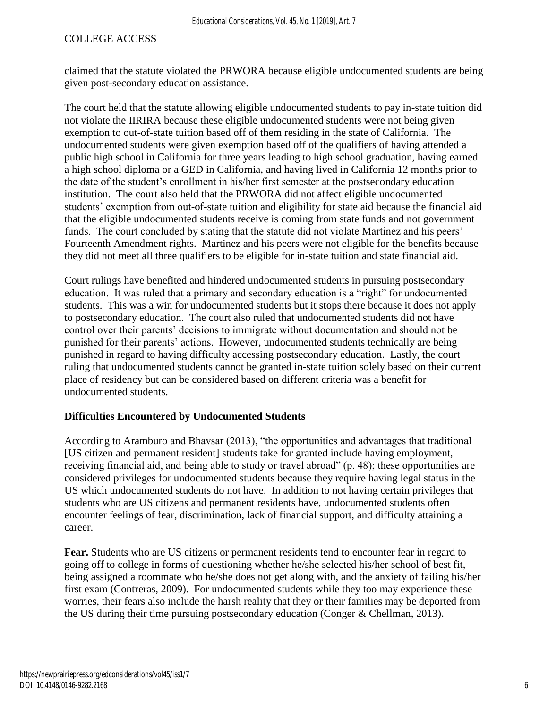claimed that the statute violated the PRWORA because eligible undocumented students are being given post-secondary education assistance.

The court held that the statute allowing eligible undocumented students to pay in-state tuition did not violate the IIRIRA because these eligible undocumented students were not being given exemption to out-of-state tuition based off of them residing in the state of California. The undocumented students were given exemption based off of the qualifiers of having attended a public high school in California for three years leading to high school graduation, having earned a high school diploma or a GED in California, and having lived in California 12 months prior to the date of the student's enrollment in his/her first semester at the postsecondary education institution. The court also held that the PRWORA did not affect eligible undocumented students' exemption from out-of-state tuition and eligibility for state aid because the financial aid that the eligible undocumented students receive is coming from state funds and not government funds. The court concluded by stating that the statute did not violate Martinez and his peers' Fourteenth Amendment rights. Martinez and his peers were not eligible for the benefits because they did not meet all three qualifiers to be eligible for in-state tuition and state financial aid.

Court rulings have benefited and hindered undocumented students in pursuing postsecondary education. It was ruled that a primary and secondary education is a "right" for undocumented students. This was a win for undocumented students but it stops there because it does not apply to postsecondary education. The court also ruled that undocumented students did not have control over their parents' decisions to immigrate without documentation and should not be punished for their parents' actions. However, undocumented students technically are being punished in regard to having difficulty accessing postsecondary education. Lastly, the court ruling that undocumented students cannot be granted in-state tuition solely based on their current place of residency but can be considered based on different criteria was a benefit for undocumented students.

#### **Difficulties Encountered by Undocumented Students**

According to Aramburo and Bhavsar (2013), "the opportunities and advantages that traditional [US citizen and permanent resident] students take for granted include having employment, receiving financial aid, and being able to study or travel abroad" (p. 48); these opportunities are considered privileges for undocumented students because they require having legal status in the US which undocumented students do not have. In addition to not having certain privileges that students who are US citizens and permanent residents have, undocumented students often encounter feelings of fear, discrimination, lack of financial support, and difficulty attaining a career.

**Fear.** Students who are US citizens or permanent residents tend to encounter fear in regard to going off to college in forms of questioning whether he/she selected his/her school of best fit, being assigned a roommate who he/she does not get along with, and the anxiety of failing his/her first exam (Contreras, 2009). For undocumented students while they too may experience these worries, their fears also include the harsh reality that they or their families may be deported from the US during their time pursuing postsecondary education (Conger & Chellman, 2013).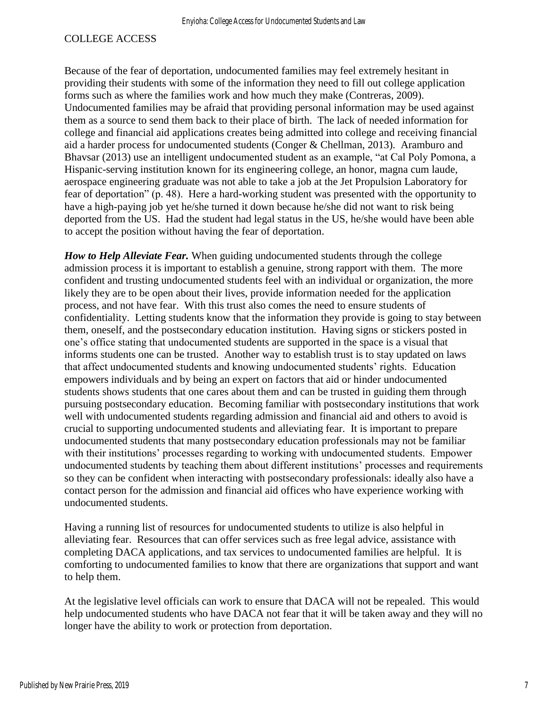Because of the fear of deportation, undocumented families may feel extremely hesitant in providing their students with some of the information they need to fill out college application forms such as where the families work and how much they make (Contreras, 2009). Undocumented families may be afraid that providing personal information may be used against them as a source to send them back to their place of birth. The lack of needed information for college and financial aid applications creates being admitted into college and receiving financial aid a harder process for undocumented students (Conger & Chellman, 2013). Aramburo and Bhavsar (2013) use an intelligent undocumented student as an example, "at Cal Poly Pomona, a Hispanic-serving institution known for its engineering college, an honor, magna cum laude, aerospace engineering graduate was not able to take a job at the Jet Propulsion Laboratory for fear of deportation" (p. 48). Here a hard-working student was presented with the opportunity to have a high-paying job yet he/she turned it down because he/she did not want to risk being deported from the US. Had the student had legal status in the US, he/she would have been able to accept the position without having the fear of deportation.

*How to Help Alleviate Fear.* When guiding undocumented students through the college admission process it is important to establish a genuine, strong rapport with them. The more confident and trusting undocumented students feel with an individual or organization, the more likely they are to be open about their lives, provide information needed for the application process, and not have fear. With this trust also comes the need to ensure students of confidentiality. Letting students know that the information they provide is going to stay between them, oneself, and the postsecondary education institution. Having signs or stickers posted in one's office stating that undocumented students are supported in the space is a visual that informs students one can be trusted. Another way to establish trust is to stay updated on laws that affect undocumented students and knowing undocumented students' rights. Education empowers individuals and by being an expert on factors that aid or hinder undocumented students shows students that one cares about them and can be trusted in guiding them through pursuing postsecondary education. Becoming familiar with postsecondary institutions that work well with undocumented students regarding admission and financial aid and others to avoid is crucial to supporting undocumented students and alleviating fear. It is important to prepare undocumented students that many postsecondary education professionals may not be familiar with their institutions' processes regarding to working with undocumented students. Empower undocumented students by teaching them about different institutions' processes and requirements so they can be confident when interacting with postsecondary professionals: ideally also have a contact person for the admission and financial aid offices who have experience working with undocumented students.

Having a running list of resources for undocumented students to utilize is also helpful in alleviating fear. Resources that can offer services such as free legal advice, assistance with completing DACA applications, and tax services to undocumented families are helpful. It is comforting to undocumented families to know that there are organizations that support and want to help them.

At the legislative level officials can work to ensure that DACA will not be repealed. This would help undocumented students who have DACA not fear that it will be taken away and they will no longer have the ability to work or protection from deportation.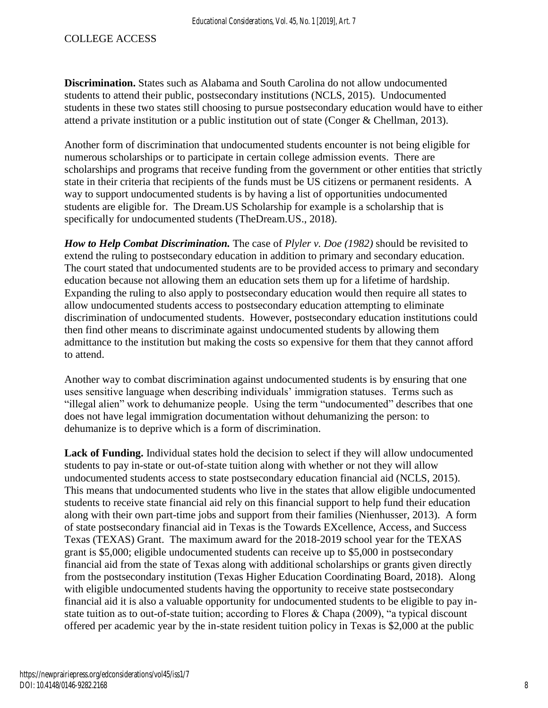**Discrimination.** States such as Alabama and South Carolina do not allow undocumented students to attend their public, postsecondary institutions (NCLS, 2015). Undocumented students in these two states still choosing to pursue postsecondary education would have to either attend a private institution or a public institution out of state (Conger & Chellman, 2013).

Another form of discrimination that undocumented students encounter is not being eligible for numerous scholarships or to participate in certain college admission events. There are scholarships and programs that receive funding from the government or other entities that strictly state in their criteria that recipients of the funds must be US citizens or permanent residents. A way to support undocumented students is by having a list of opportunities undocumented students are eligible for. The Dream.US Scholarship for example is a scholarship that is specifically for undocumented students (TheDream.US., 2018).

*How to Help Combat Discrimination.* The case of *Plyler v. Doe (1982)* should be revisited to extend the ruling to postsecondary education in addition to primary and secondary education. The court stated that undocumented students are to be provided access to primary and secondary education because not allowing them an education sets them up for a lifetime of hardship. Expanding the ruling to also apply to postsecondary education would then require all states to allow undocumented students access to postsecondary education attempting to eliminate discrimination of undocumented students. However, postsecondary education institutions could then find other means to discriminate against undocumented students by allowing them admittance to the institution but making the costs so expensive for them that they cannot afford to attend.

Another way to combat discrimination against undocumented students is by ensuring that one uses sensitive language when describing individuals' immigration statuses. Terms such as "illegal alien" work to dehumanize people. Using the term "undocumented" describes that one does not have legal immigration documentation without dehumanizing the person: to dehumanize is to deprive which is a form of discrimination.

**Lack of Funding.** Individual states hold the decision to select if they will allow undocumented students to pay in-state or out-of-state tuition along with whether or not they will allow undocumented students access to state postsecondary education financial aid (NCLS, 2015). This means that undocumented students who live in the states that allow eligible undocumented students to receive state financial aid rely on this financial support to help fund their education along with their own part-time jobs and support from their families (Nienhusser, 2013). A form of state postsecondary financial aid in Texas is the Towards EXcellence, Access, and Success Texas (TEXAS) Grant. The maximum award for the 2018-2019 school year for the TEXAS grant is \$5,000; eligible undocumented students can receive up to \$5,000 in postsecondary financial aid from the state of Texas along with additional scholarships or grants given directly from the postsecondary institution (Texas Higher Education Coordinating Board, 2018). Along with eligible undocumented students having the opportunity to receive state postsecondary financial aid it is also a valuable opportunity for undocumented students to be eligible to pay instate tuition as to out-of-state tuition; according to Flores & Chapa (2009), "a typical discount offered per academic year by the in-state resident tuition policy in Texas is \$2,000 at the public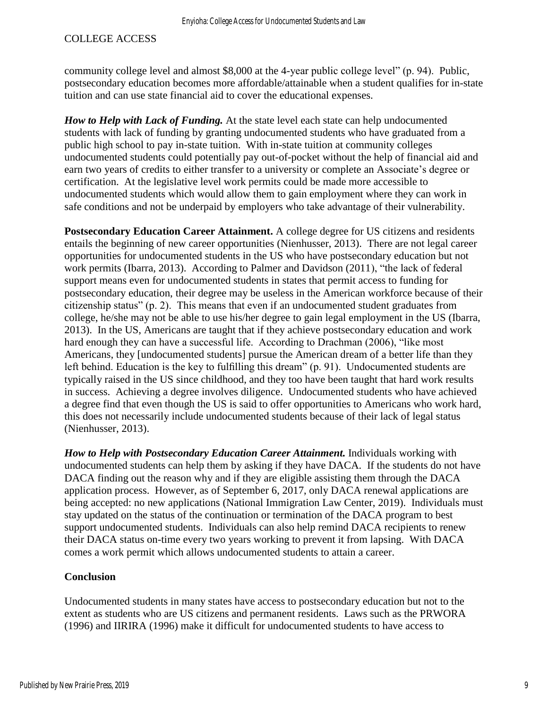community college level and almost \$8,000 at the 4-year public college level" (p. 94). Public, postsecondary education becomes more affordable/attainable when a student qualifies for in-state tuition and can use state financial aid to cover the educational expenses.

*How to Help with Lack of Funding.* At the state level each state can help undocumented students with lack of funding by granting undocumented students who have graduated from a public high school to pay in-state tuition. With in-state tuition at community colleges undocumented students could potentially pay out-of-pocket without the help of financial aid and earn two years of credits to either transfer to a university or complete an Associate's degree or certification. At the legislative level work permits could be made more accessible to undocumented students which would allow them to gain employment where they can work in safe conditions and not be underpaid by employers who take advantage of their vulnerability.

**Postsecondary Education Career Attainment.** A college degree for US citizens and residents entails the beginning of new career opportunities (Nienhusser, 2013). There are not legal career opportunities for undocumented students in the US who have postsecondary education but not work permits (Ibarra, 2013). According to Palmer and Davidson (2011), "the lack of federal support means even for undocumented students in states that permit access to funding for postsecondary education, their degree may be useless in the American workforce because of their citizenship status" (p. 2). This means that even if an undocumented student graduates from college, he/she may not be able to use his/her degree to gain legal employment in the US (Ibarra, 2013). In the US, Americans are taught that if they achieve postsecondary education and work hard enough they can have a successful life. According to Drachman (2006), "like most Americans, they [undocumented students] pursue the American dream of a better life than they left behind. Education is the key to fulfilling this dream" (p. 91). Undocumented students are typically raised in the US since childhood, and they too have been taught that hard work results in success. Achieving a degree involves diligence. Undocumented students who have achieved a degree find that even though the US is said to offer opportunities to Americans who work hard, this does not necessarily include undocumented students because of their lack of legal status (Nienhusser, 2013).

*How to Help with Postsecondary Education Career Attainment.* Individuals working with undocumented students can help them by asking if they have DACA. If the students do not have DACA finding out the reason why and if they are eligible assisting them through the DACA application process. However, as of September 6, 2017, only DACA renewal applications are being accepted: no new applications (National Immigration Law Center, 2019). Individuals must stay updated on the status of the continuation or termination of the DACA program to best support undocumented students. Individuals can also help remind DACA recipients to renew their DACA status on-time every two years working to prevent it from lapsing. With DACA comes a work permit which allows undocumented students to attain a career.

#### **Conclusion**

Undocumented students in many states have access to postsecondary education but not to the extent as students who are US citizens and permanent residents. Laws such as the PRWORA (1996) and IIRIRA (1996) make it difficult for undocumented students to have access to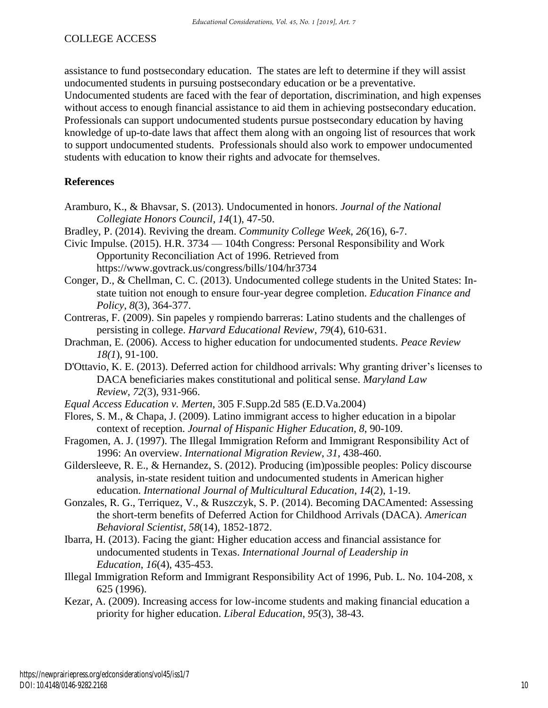assistance to fund postsecondary education. The states are left to determine if they will assist undocumented students in pursuing postsecondary education or be a preventative.

Undocumented students are faced with the fear of deportation, discrimination, and high expenses without access to enough financial assistance to aid them in achieving postsecondary education. Professionals can support undocumented students pursue postsecondary education by having knowledge of up-to-date laws that affect them along with an ongoing list of resources that work to support undocumented students. Professionals should also work to empower undocumented students with education to know their rights and advocate for themselves.

#### **References**

- Aramburo, K., & Bhavsar, S. (2013). Undocumented in honors. *Journal of the National Collegiate Honors Council*, *14*(1), 47-50.
- Bradley, P. (2014). Reviving the dream. *Community College Week*, *26*(16), 6-7.
- Civic Impulse. (2015). H.R. 3734 104th Congress: Personal Responsibility and Work Opportunity Reconciliation Act of 1996. Retrieved from https://www.govtrack.us/congress/bills/104/hr3734
- Conger, D., & Chellman, C. C. (2013). Undocumented college students in the United States: Instate tuition not enough to ensure four-year degree completion. *Education Finance and Policy*, *8*(3), 364-377.
- Contreras, F. (2009). Sin papeles y rompiendo barreras: Latino students and the challenges of persisting in college. *Harvard Educational Review*, *79*(4), 610-631.
- Drachman, E. (2006). Access to higher education for undocumented students. *Peace Review 18(1*), 91-100.
- D'Ottavio, K. E. (2013). Deferred action for childhood arrivals: Why granting driver's licenses to DACA beneficiaries makes constitutional and political sense. *Maryland Law Review*, *72*(3), 931-966.
- *Equal Access Education v. Merten*, 305 F.Supp.2d 585 (E.D.Va.2004)
- Flores, S. M., & Chapa, J. (2009). Latino immigrant access to higher education in a bipolar context of reception. *Journal of Hispanic Higher Education, 8*, 90-109.
- Fragomen, A. J. (1997). The Illegal Immigration Reform and Immigrant Responsibility Act of 1996: An overview. *International Migration Review*, *31*, 438-460.
- Gildersleeve, R. E., & Hernandez, S. (2012). Producing (im)possible peoples: Policy discourse analysis, in-state resident tuition and undocumented students in American higher education. *International Journal of Multicultural Education*, *14*(2), 1-19.
- Gonzales, R. G., Terriquez, V., & Ruszczyk, S. P. (2014). Becoming DACAmented: Assessing the short-term benefits of Deferred Action for Childhood Arrivals (DACA). *American Behavioral Scientist*, *58*(14), 1852-1872.
- Ibarra, H. (2013). Facing the giant: Higher education access and financial assistance for undocumented students in Texas. *International Journal of Leadership in Education*, *16*(4), 435-453.
- Illegal Immigration Reform and Immigrant Responsibility Act of 1996, Pub. L. No. 104-208, x 625 (1996).
- Kezar, A. (2009). Increasing access for low-income students and making financial education a priority for higher education. *Liberal Education*, *95*(3), 38-43.